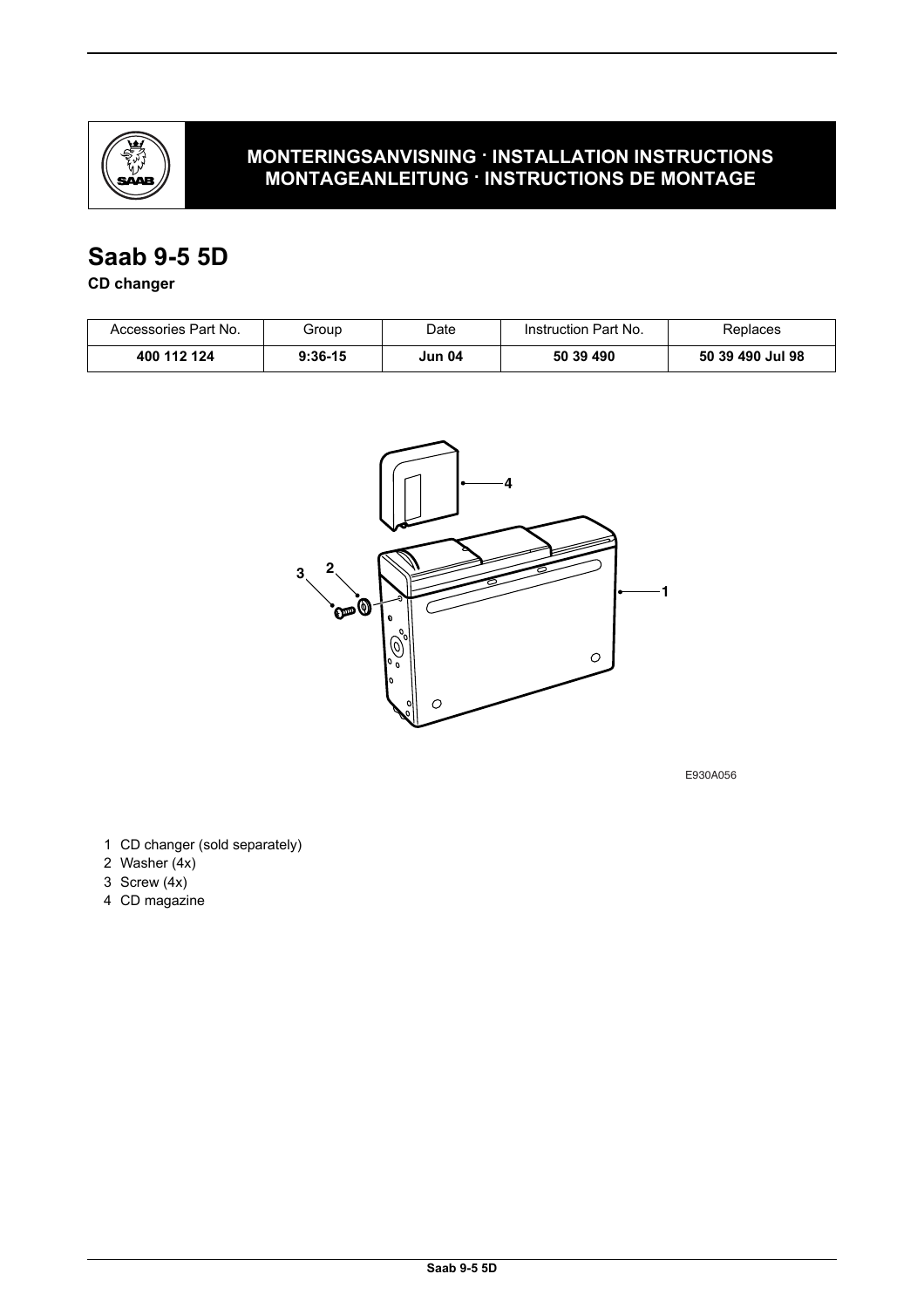

### **MONTERINGSANVISNING · INSTALLATION INSTRUCTIONS MONTAGEANLEITUNG · INSTRUCTIONS DE MONTAGE**

# **Saab 9-5 5D**

### **CD changer**

| Accessories Part No. | Group     | Date   | Instruction Part No. | Replaces         |
|----------------------|-----------|--------|----------------------|------------------|
| 400 112 124          | $9:36-15$ | Jun 04 | 50 39 490            | 50 39 490 Jul 98 |



E930A056

- 1 CD changer (sold separately)
- 2 Washer (4x)
- 3 Screw (4x)
- 4 CD magazine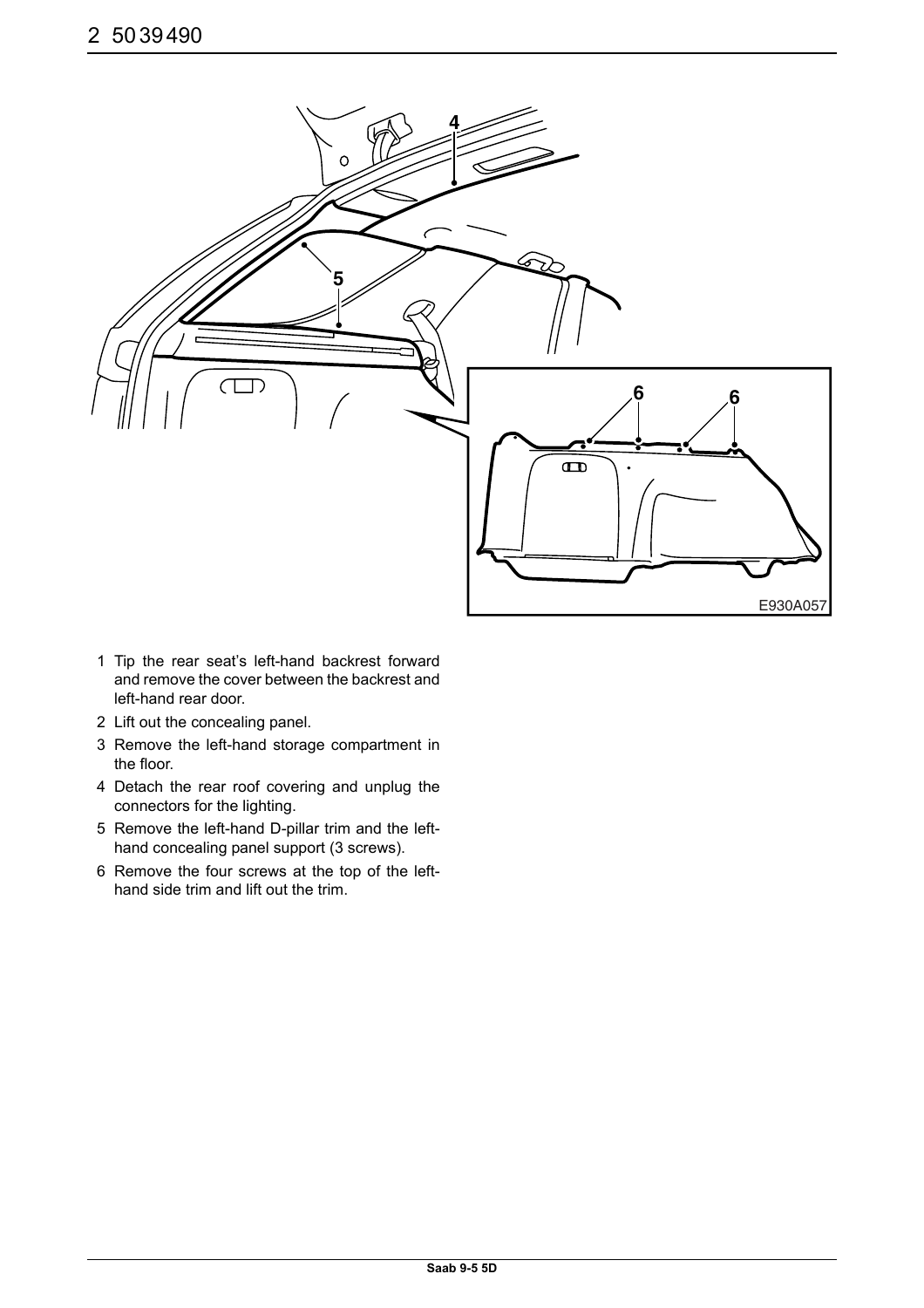

- 1 Tip the rear seat's left-hand backrest forward and remove the cover between the backrest and left-hand rear door.
- 2 Lift out the concealing panel.
- 3 Remove the left-hand storage compartment in the floor.
- 4 Detach the rear roof covering and unplug the connectors for the lighting.
- 5 Remove the left-hand D-pillar trim and the lefthand concealing panel support (3 screws).
- 6 Remove the four screws at the top of the lefthand side trim and lift out the trim.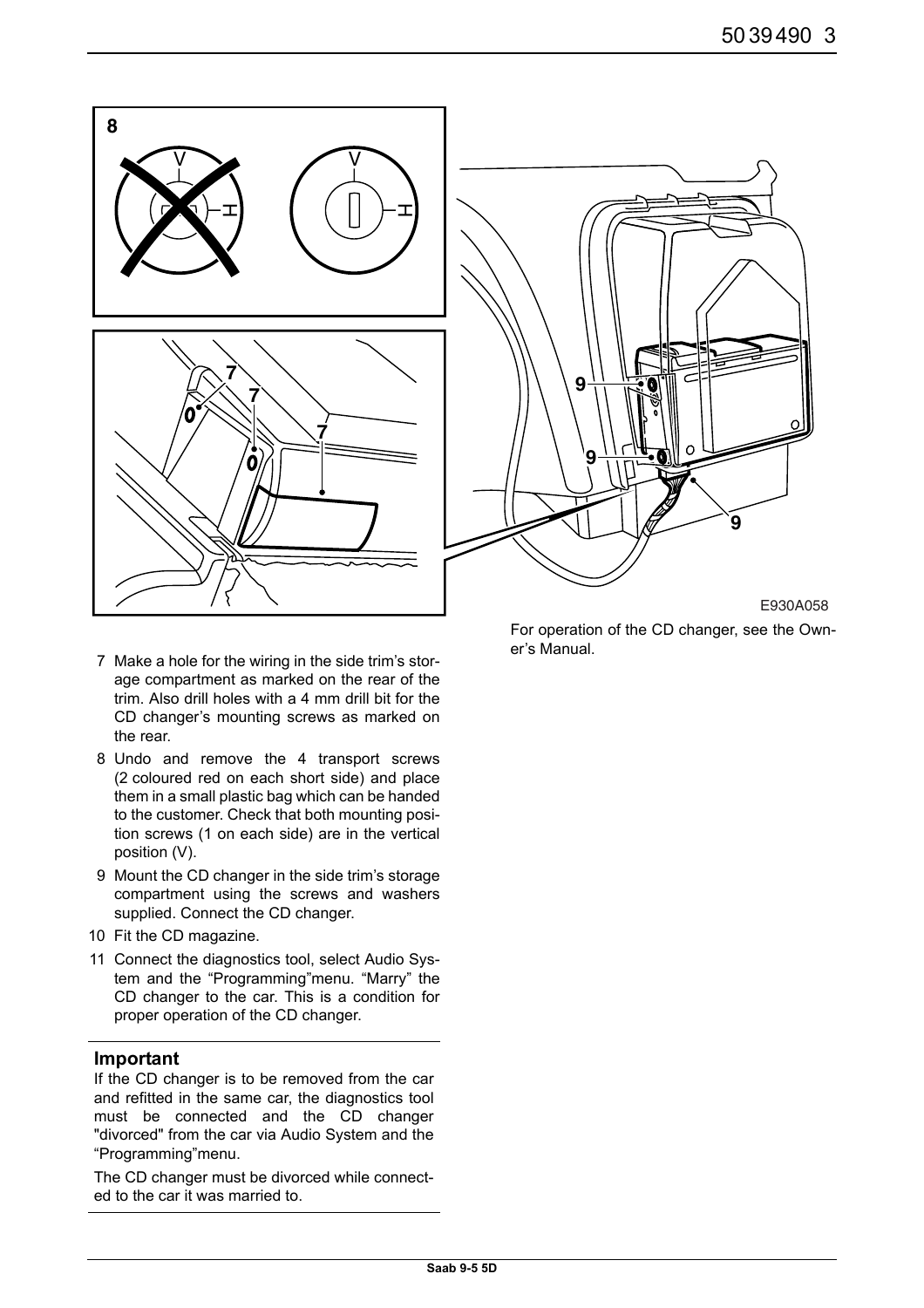

For operation of the CD changer, see the Owner's Manual.

- 7 Make a hole for the wiring in the side trim's storage compartment as marked on the rear of the trim. Also drill holes with a 4 mm drill bit for the CD changer's mounting screws as marked on the rear.
- 8 Undo and remove the 4 transport screws (2 coloured red on each short side) and place them in a small plastic bag which can be handed to the customer. Check that both mounting position screws (1 on each side) are in the vertical position (V).
- 9 Mount the CD changer in the side trim's storage compartment using the screws and washers supplied. Connect the CD changer.
- 10 Fit the CD magazine.
- 11 Connect the diagnostics tool, select Audio System and the "Programming"menu. "Marry" the CD changer to the car. This is a condition for proper operation of the CD changer.

#### **Important**

If the CD changer is to be removed from the car and refitted in the same car, the diagnostics tool must be connected and the CD changer "divorced" from the car via Audio System and the "Programming"menu.

The CD changer must be divorced while connected to the car it was married to.